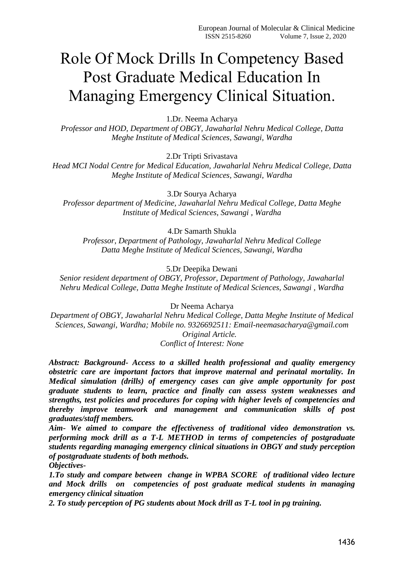# Role Of Mock Drills In Competency Based Post Graduate Medical Education In Managing Emergency Clinical Situation.

1.Dr. Neema Acharya

*Professor and HOD, Department of OBGY, Jawaharlal Nehru Medical College, Datta Meghe Institute of Medical Sciences, Sawangi, Wardha*

2.Dr Tripti Srivastava

*Head MCI Nodal Centre for Medical Education, Jawaharlal Nehru Medical College, Datta Meghe Institute of Medical Sciences, Sawangi, Wardha*

3.Dr Sourya Acharya

*Professor department of Medicine, Jawaharlal Nehru Medical College, Datta Meghe Institute of Medical Sciences, Sawangi , Wardha*

4.Dr Samarth Shukla

*Professor, Department of Pathology, Jawaharlal Nehru Medical College Datta Meghe Institute of Medical Sciences, Sawangi, Wardha*

5.Dr Deepika Dewani

*Senior resident department of OBGY, Professor, Department of Pathology, Jawaharlal Nehru Medical College, Datta Meghe Institute of Medical Sciences, Sawangi , Wardha*

Dr Neema Acharya

*Department of OBGY, Jawaharlal Nehru Medical College, Datta Meghe Institute of Medical Sciences, Sawangi, Wardha; Mobile no. 9326692511: Email-neemasacharya@gmail.com Original Article. Conflict of Interest: None*

*Abstract: Background- Access to a skilled health professional and quality emergency obstetric care are important factors that improve maternal and perinatal mortality. In Medical simulation (drills) of emergency cases can give ample opportunity for post graduate students to learn, practice and finally can assess system weaknesses and strengths, test policies and procedures for coping with higher levels of competencies and thereby improve teamwork and management and communication skills of post graduates/staff members.*

*Aim- We aimed to compare the effectiveness of traditional video demonstration vs. performing mock drill as a T-L METHOD in terms of competencies of postgraduate students regarding managing emergency clinical situations in OBGY and study perception of postgraduate students of both methods.*

*Objectives-*

*1.To study and compare between change in WPBA SCORE of traditional video lecture and Mock drills on competencies of post graduate medical students in managing emergency clinical situation*

*2. To study perception of PG students about Mock drill as T-L tool in pg training.*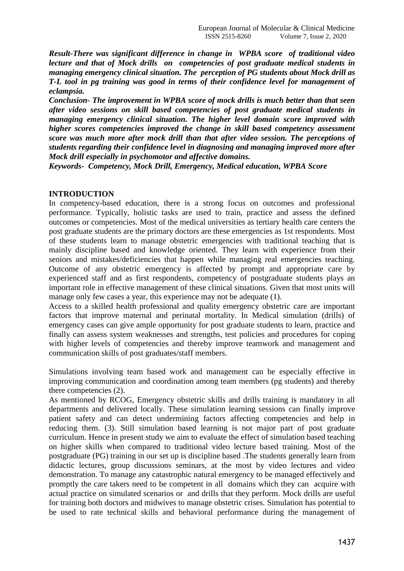*Result-There was significant difference in change in WPBA score of traditional video lecture and that of Mock drills on competencies of post graduate medical students in managing emergency clinical situation. The perception of PG students about Mock drill as T-L tool in pg training was good in terms of their confidence level for management of eclampsia.*

*Conclusion- The improvement in WPBA score of mock drills is much better than that seen after video sessions on skill based competencies of post graduate medical students in managing emergency clinical situation. The higher level domain score improved with higher scores competencies improved the change in skill based competency assessment score was much more after mock drill than that after video session. The perceptions of students regarding their confidence level in diagnosing and managing improved more after Mock drill especially in psychomotor and affective domains.*

*Keywords- Competency, Mock Drill, Emergency, Medical education, WPBA Score*

## **INTRODUCTION**

In competency-based education, there is a strong focus on outcomes and professional performance. Typically, holistic tasks are used to train, practice and assess the defined outcomes or competencies. Most of the medical universities as tertiary health care centers the post graduate students are the primary doctors are these emergencies as 1st respondents. Most of these students learn to manage obstetric emergencies with traditional teaching that is mainly discipline based and knowledge oriented. They learn with experience from their seniors and mistakes/deficiencies that happen while managing real emergencies teaching. Outcome of any obstetric emergency is affected by prompt and appropriate care by experienced staff and as first respondents, competency of postgraduate students plays an important role in effective management of these clinical situations. Given that most units will manage only few cases a year, this experience may not be adequate (1).

Access to a skilled health professional and quality emergency obstetric care are important factors that improve maternal and perinatal mortality. In Medical simulation (drills) of emergency cases can give ample opportunity for post graduate students to learn, practice and finally can assess system weaknesses and strengths, test policies and procedures for coping with higher levels of competencies and thereby improve teamwork and management and communication skills of post graduates/staff members.

Simulations involving team based work and management can be especially effective in improving communication and coordination among team members (pg students) and thereby there competencies (2).

As mentioned by RCOG, Emergency obstetric skills and drills training is mandatory in all departments and delivered locally. These simulation learning sessions can finally improve patient safety and can detect undermining factors affecting competencies and help in reducing them. (3). Still simulation based learning is not major part of post graduate curriculum. Hence in present study we aim to evaluate the effect of simulation based teaching on higher skills when compared to traditional video lecture based training. Most of the postgraduate (PG) training in our set up is discipline based .The students generally learn from didactic lectures, group discussions seminars, at the most by video lectures and video demonstration. To manage any catastrophic natural emergency to be managed effectively and promptly the care takers need to be competent in all domains which they can acquire with actual practice on simulated scenarios or and drills that they perform. Mock drills are useful for training both doctors and midwives to manage obstetric crises. Simulation has potential to be used to rate technical skills and behavioral performance during the management of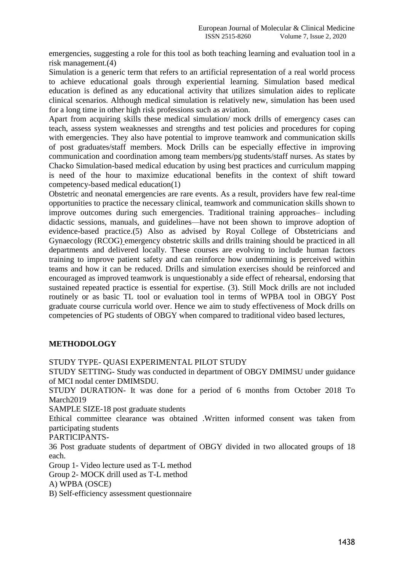emergencies, suggesting a role for this tool as both teaching learning and evaluation tool in a risk management.(4)

Simulation is a generic term that refers to an artificial representation of a real world process to achieve educational goals through experiential learning. Simulation based medical education is defined as any educational activity that utilizes simulation aides to replicate clinical scenarios. Although medical simulation is relatively new, simulation has been used for a long time in other high risk professions such as aviation.

Apart from acquiring skills these medical simulation/ mock drills of emergency cases can teach, assess system weaknesses and strengths and test policies and procedures for coping with emergencies. They also have potential to improve teamwork and communication skills of post graduates/staff members. Mock Drills can be especially effective in improving communication and coordination among team members/pg students/staff nurses. As states by Chacko Simulation-based medical education by using best practices and curriculum mapping is need of the hour to maximize educational benefits in the context of shift toward competency-based medical education(1)

Obstetric and neonatal emergencies are rare events. As a result, providers have few real-time opportunities to practice the necessary clinical, teamwork and communication skills shown to improve outcomes during such emergencies. Traditional training approaches– including didactic sessions, manuals, and guidelines—have not been shown to improve adoption of evidence-based practice.(5) Also as advised by Royal College of Obstetricians and Gynaecology (RCOG) emergency obstetric skills and drills training should be practiced in all departments and delivered locally. These courses are evolving to include human factors training to improve patient safety and can reinforce how undermining is perceived within teams and how it can be reduced. Drills and simulation exercises should be reinforced and encouraged as improved teamwork is unquestionably a side effect of rehearsal, endorsing that sustained repeated practice is essential for expertise. (3). Still Mock drills are not included routinely or as basic TL tool or evaluation tool in terms of WPBA tool in OBGY Post graduate course curricula world over. Hence we aim to study effectiveness of Mock drills on competencies of PG students of OBGY when compared to traditional video based lectures,

# **METHODOLOGY**

STUDY TYPE- QUASI EXPERIMENTAL PILOT STUDY

STUDY SETTING- Study was conducted in department of OBGY DMIMSU under guidance of MCI nodal center DMIMSDU.

STUDY DURATION- It was done for a period of 6 months from October 2018 To March2019

SAMPLE SIZE-18 post graduate students

Ethical committee clearance was obtained .Written informed consent was taken from participating students

PARTICIPANTS-

36 Post graduate students of department of OBGY divided in two allocated groups of 18 each.

Group 1- Video lecture used as T-L method

Group 2- MOCK drill used as T-L method

A) WPBA (OSCE)

B) Self-efficiency assessment questionnaire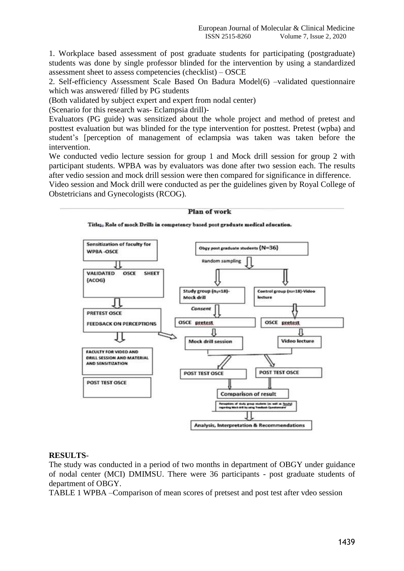1. Workplace based assessment of post graduate students for participating (postgraduate) students was done by single professor blinded for the intervention by using a standardized assessment sheet to assess competencies (checklist) – OSCE

2. Self-efficiency Assessment Scale Based On Badura Model(6) –validated questionnaire which was answered/ filled by PG students

(Both validated by subject expert and expert from nodal center)

(Scenario for this research was- Eclampsia drill)-

Evaluators (PG guide) was sensitized about the whole project and method of pretest and posttest evaluation but was blinded for the type intervention for posttest. Pretest (wpba) and student's [perception of management of eclampsia was taken was taken before the intervention.

We conducted vedio lecture session for group 1 and Mock drill session for group 2 with participant students. WPBA was by evaluators was done after two session each. The results after vedio session and mock drill session were then compared for significance in difference.

Video session and Mock drill were conducted as per the guidelines given by Royal College of Obstetricians and Gynecologists (RCOG).



## **RESULTS**-

The study was conducted in a period of two months in department of OBGY under guidance of nodal center (MCI) DMIMSU. There were 36 participants - post graduate students of department of OBGY.

TABLE 1 WPBA –Comparison of mean scores of pretsest and post test after vdeo session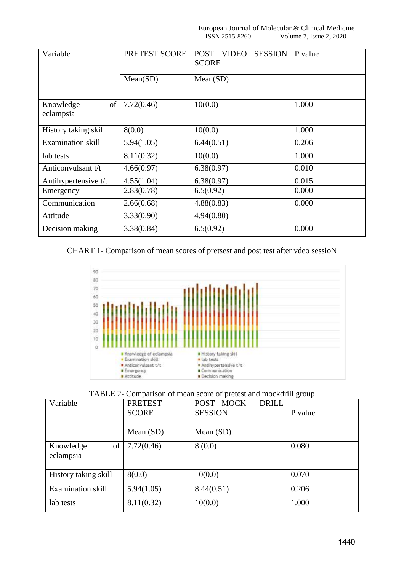| Variable                     | PRETEST SCORE | <b>SESSION</b><br><b>POST</b><br><b>VIDEO</b><br><b>SCORE</b> | P value |
|------------------------------|---------------|---------------------------------------------------------------|---------|
|                              | Mean(SD)      | Mean(SD)                                                      |         |
| of<br>Knowledge<br>eclampsia | 7.72(0.46)    | 10(0.0)                                                       | 1.000   |
| History taking skill         | 8(0.0)        | 10(0.0)                                                       | 1.000   |
| <b>Examination skill</b>     | 5.94(1.05)    | 6.44(0.51)                                                    | 0.206   |
| lab tests                    | 8.11(0.32)    | 10(0.0)                                                       | 1.000   |
| Anticonvulsant t/t           | 4.66(0.97)    | 6.38(0.97)                                                    | 0.010   |
| Antihypertensive t/t         | 4.55(1.04)    | 6.38(0.97)                                                    | 0.015   |
| Emergency                    | 2.83(0.78)    | 6.5(0.92)                                                     | 0.000   |
| Communication                | 2.66(0.68)    | 4.88(0.83)                                                    | 0.000   |
| Attitude                     | 3.33(0.90)    | 4.94(0.80)                                                    |         |
| Decision making              | 3.38(0.84)    | 6.5(0.92)                                                     | 0.000   |

CHART 1- Comparison of mean scores of pretsest and post test after vdeo sessioN



TABLE 2- Comparison of mean score of pretest and mockdrill group

| Variable                 | <b>PRETEST</b> | POST MOCK<br><b>DRILL</b> |         |
|--------------------------|----------------|---------------------------|---------|
|                          | <b>SCORE</b>   | <b>SESSION</b>            | P value |
|                          |                |                           |         |
|                          | Mean $(SD)$    | Mean $(SD)$               |         |
| of<br>Knowledge          | 7.72(0.46)     | 8(0.0)                    | 0.080   |
| eclampsia                |                |                           |         |
|                          |                |                           |         |
| History taking skill     | 8(0.0)         | 10(0.0)                   | 0.070   |
|                          |                |                           |         |
| <b>Examination</b> skill | 5.94(1.05)     | 8.44(0.51)                | 0.206   |
| lab tests                | 8.11(0.32)     | 10(0.0)                   | 1.000   |
|                          |                |                           |         |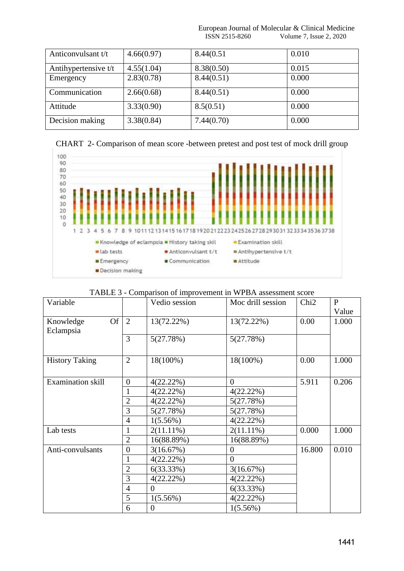#### European Journal of Molecular & Clinical Medicine<br>ISSN 2515-8260 Volume 7, Issue 2, 2020 Volume 7, Issue 2, 2020

| Anticonvulsant t/t   | 4.66(0.97) | 8.44(0.51) | 0.010 |
|----------------------|------------|------------|-------|
| Antihypertensive t/t | 4.55(1.04) | 8.38(0.50) | 0.015 |
| Emergency            | 2.83(0.78) | 8.44(0.51) | 0.000 |
| Communication        | 2.66(0.68) | 8.44(0.51) | 0.000 |
| Attitude             | 3.33(0.90) | 8.5(0.51)  | 0.000 |
| Decision making      | 3.38(0.84) | 7.44(0.70) | 0.000 |





| Variable                 |                      | Vedio session  | Moc drill session | Chi <sub>2</sub> | $\mathbf{P}$ |
|--------------------------|----------------------|----------------|-------------------|------------------|--------------|
|                          |                      |                |                   |                  | Value        |
| Knowledge                | Of<br>$\overline{2}$ | $13(72.22\%)$  | $13(72.22\%)$     | 0.00             | 1.000        |
| Eclampsia                |                      |                |                   |                  |              |
|                          | 3                    | 5(27.78%)      | 5(27.78%)         |                  |              |
|                          |                      |                |                   |                  |              |
| <b>History Taking</b>    | $\overline{2}$       | 18(100%)       | 18(100%)          | 0.00             | 1.000        |
|                          |                      |                |                   |                  |              |
| <b>Examination skill</b> | $\overline{0}$       | $4(22.22\%)$   | $\theta$          | 5.911            | 0.206        |
|                          | 1                    | 4(22.22%)      | 4(22.22%)         |                  |              |
|                          | $\overline{2}$       | $4(22.22\%)$   | 5(27.78%)         |                  |              |
|                          | 3                    | 5(27.78%)      | 5(27.78%)         |                  |              |
|                          | $\overline{4}$       | $1(5.56\%)$    | 4(22.22%)         |                  |              |
| Lab tests                |                      | $2(11.11\%)$   | $2(11.11\%)$      | 0.000            | 1.000        |
|                          | $\overline{2}$       | 16(88.89%)     | 16(88.89%)        |                  |              |
| Anti-convulsants         | $\boldsymbol{0}$     | 3(16.67%)      | $\Omega$          | 16.800           | 0.010        |
|                          | 1                    | 4(22.22%)      | $\overline{0}$    |                  |              |
|                          | $\overline{2}$       | 6(33.33%)      | 3(16.67%)         |                  |              |
|                          | 3                    | 4(22.22%)      | 4(22.22%)         |                  |              |
|                          | $\overline{4}$       | $\theta$       | 6(33.33%)         |                  |              |
|                          | 5                    | $1(5.56\%)$    | 4(22.22%)         |                  |              |
|                          | 6                    | $\overline{0}$ | $1(5.56\%)$       |                  |              |

| TABLE 3 - Comparison of improvement in WPBA assessment score |  |
|--------------------------------------------------------------|--|
|--------------------------------------------------------------|--|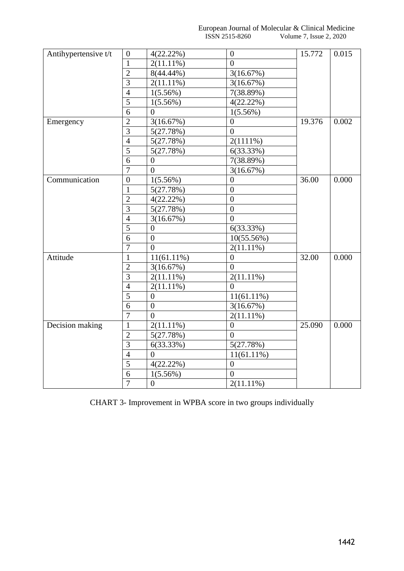European Journal of Molecular & Clinical Medicine ISSN 2515-8260 Volume 7, Issue 2, 2020

| Antihypertensive t/t | $\boldsymbol{0}$ | 4(22.22%)        | $\overline{0}$   | 15.772 | 0.015 |
|----------------------|------------------|------------------|------------------|--------|-------|
|                      | $\mathbf{1}$     | $2(11.11\%)$     | $\theta$         |        |       |
|                      | $\overline{2}$   | 8(44.44%)        | 3(16.67%)        |        |       |
|                      | $\overline{3}$   | $2(11.11\%)$     | 3(16.67%)        |        |       |
|                      | $\overline{4}$   | $1(5.56\%)$      | 7(38.89%)        |        |       |
|                      | $\overline{5}$   | $1(5.56\%)$      | 4(22.22%)        |        |       |
|                      | $\overline{6}$   | $\overline{0}$   | $1(5.56\%)$      |        |       |
| Emergency            | $\overline{2}$   | 3(16.67%)        | $\overline{0}$   | 19.376 | 0.002 |
|                      | $\overline{3}$   | 5(27.78%)        | $\overline{0}$   |        |       |
|                      | $\overline{4}$   | 5(27.78%)        | 2(1111%)         |        |       |
|                      | $\overline{5}$   | 5(27.78%)        | 6(33.33%)        |        |       |
|                      | $\overline{6}$   | $\mathbf{0}$     | 7(38.89%)        |        |       |
|                      | $\overline{7}$   | $\overline{0}$   | 3(16.67%)        |        |       |
| Communication        | $\boldsymbol{0}$ | $1(5.56\%)$      | $\overline{0}$   | 36.00  | 0.000 |
|                      | $\mathbf{1}$     | 5(27.78%)        | $\boldsymbol{0}$ |        |       |
|                      | $\overline{2}$   | 4(22.22%)        | $\overline{0}$   |        |       |
|                      | $\overline{3}$   | 5(27.78%)        | $\overline{0}$   |        |       |
|                      | $\overline{4}$   | 3(16.67%)        | $\overline{0}$   |        |       |
|                      | 5                | $\overline{0}$   | 6(33.33%)        |        |       |
|                      | $\overline{6}$   | $\overline{0}$   | 10(55.56%)       |        |       |
|                      | $\overline{7}$   | $\overline{0}$   | $2(11.11\%)$     |        |       |
| Attitude             | $\mathbf{1}$     | $11(61.11\%)$    | $\overline{0}$   | 32.00  | 0.000 |
|                      | $\overline{c}$   | 3(16.67%)        | $\overline{0}$   |        |       |
|                      | $\overline{3}$   | $2(11.11\%)$     | $2(11.11\%)$     |        |       |
|                      | $\overline{4}$   | $2(11.11\%)$     | $\overline{0}$   |        |       |
|                      | $\overline{5}$   | $\overline{0}$   | $11(61.11\%)$    |        |       |
|                      | $\overline{6}$   | $\boldsymbol{0}$ | 3(16.67%)        |        |       |
|                      | $\overline{7}$   | $\overline{0}$   | $2(11.11\%)$     |        |       |
| Decision making      | $\mathbf{1}$     | $2(11.11\%)$     | $\overline{0}$   | 25.090 | 0.000 |
|                      | $\overline{2}$   | 5(27.78%)        | $\overline{0}$   |        |       |
|                      | $\overline{3}$   | 6(33.33%)        | 5(27.78%)        |        |       |
|                      | $\overline{4}$   | $\overline{0}$   | $11(61.11\%)$    |        |       |
|                      | $\overline{5}$   | 4(22.22%)        | $\overline{0}$   |        |       |
|                      | $\overline{6}$   | $1(5.56\%)$      | $\overline{0}$   |        |       |
|                      | $\overline{7}$   | $\overline{0}$   | $2(11.11\%)$     |        |       |

CHART 3- Improvement in WPBA score in two groups individually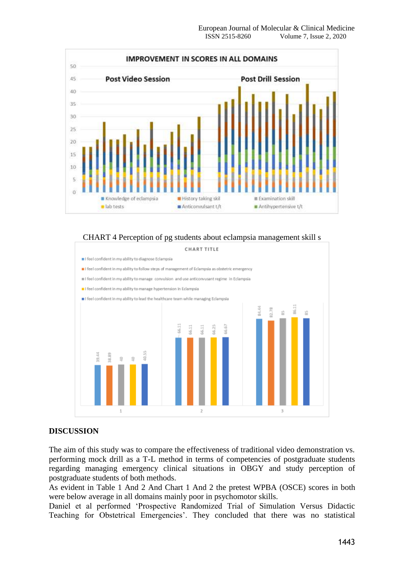

CHART 4 Perception of pg students about eclampsia management skill s



## **DISCUSSION**

The aim of this study was to compare the effectiveness of traditional video demonstration vs. performing mock drill as a T-L method in terms of competencies of postgraduate students regarding managing emergency clinical situations in OBGY and study perception of postgraduate students of both methods.

As evident in Table 1 And 2 And Chart 1 And 2 the pretest WPBA (OSCE) scores in both were below average in all domains mainly poor in psychomotor skills.

Daniel et al performed 'Prospective Randomized Trial of Simulation Versus Didactic Teaching for Obstetrical Emergencies'. They concluded that there was no statistical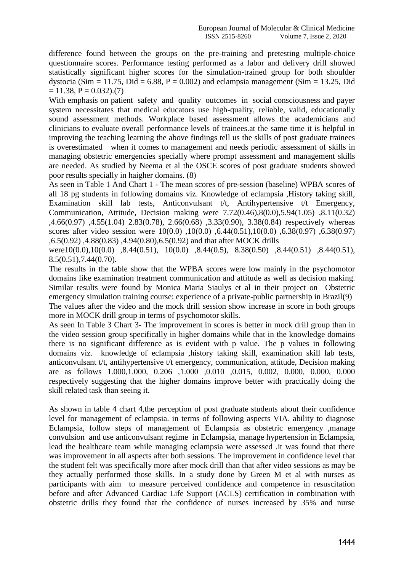difference found between the groups on the pre-training and pretesting multiple-choice questionnaire scores. Performance testing performed as a labor and delivery drill showed statistically significant higher scores for the simulation-trained group for both shoulder dystocia (Sim = 11.75, Did = 6.88, P = 0.002) and eclampsia management (Sim = 13.25, Did  $= 11.38$ ,  $P = 0.032$ ).(7)

With emphasis on patient safety and quality outcomes in social consciousness and payer system necessitates that medical educators use high-quality, reliable, valid, educationally sound assessment methods. Workplace based assessment allows the academicians and clinicians to evaluate overall performance levels of trainees.at the same time it is helpful in improving the teaching learning the above findings tell us the skills of post graduate trainees is overestimated when it comes to management and needs periodic assessment of skills in managing obstetric emergencies specially where prompt assessment and management skills are needed. As studied by Neema et al the OSCE scores of post graduate students showed poor results specially in haigher domains. (8)

As seen in Table 1 And Chart 1 - The mean scores of pre-session (baseline) WPBA scores of all 18 pg students in following domains viz. Knowledge of eclampsia ,History taking skill, Examination skill lab tests, Anticonvulsant t/t, Antihypertensive t/t Emergency, Communication, Attitude, Decision making were 7.72(0.46),8(0.0),5.94(1.05) ,8.11(0.32) ,4.66(0.97) ,4.55(1.04) 2.83(0.78), 2.66(0.68) ,3.33(0.90), 3.38(0.84) respectively whereas scores after video session were 10(0.0) ,10(0.0) ,6.44(0.51),10(0.0) ,6.38(0.97) ,6.38(0.97) ,6.5(0.92) ,4.88(0.83) ,4.94(0.80),6.5(0.92) and that after MOCK drills

were10(0.0),10(0.0), 8.44(0.51), 10(0.0), 8.44(0.5), 8.38(0.50), 8.44(0.51), 8.44(0.51), 8.5(0.51),7.44(0.70).

The results in the table show that the WPBA scores were low mainly in the psychomotor domains like examination treatment communication and attitude as well as decision making. Similar results were found by Monica Maria Siaulys et al in their project on Obstetric emergency simulation training course: experience of a private-public partnership in Brazil(9) The values after the video and the mock drill session show increase in score in both groups more in MOCK drill group in terms of psychomotor skills.

As seen In Table 3 Chart 3- The improvement in scores is better in mock drill group than in the video session group specifically in higher domains while that in the knowledge domains there is no significant difference as is evident with p value. The p values in following domains viz. knowledge of eclampsia ,history taking skill, examination skill lab tests, anticonvulsant t/t, antihypertensive t/t emergency, communication, attitude, Decision making are as follows 1.000,1.000, 0.206 ,1.000 ,0.010 ,0.015, 0.002, 0.000, 0.000, 0.000 respectively suggesting that the higher domains improve better with practically doing the skill related task than seeing it.

As shown in table 4 chart 4,the perception of post graduate students about their confidence level for management of eclampsia. in terms of following aspects VIA. ability to diagnose Eclampsia, follow steps of management of Eclampsia as obstetric emergency ,manage convulsion and use anticonvulsant regime in Eclampsia, manage hypertension in Eclampsia, lead the healthcare team while managing eclampsia were assessed .it was found that there was improvement in all aspects after both sessions. The improvement in confidence level that the student felt was specifically more after mock drill than that after video sessions as may be they actually performed those skills. In a study done by Green M et al with nurses as participants with aim to measure perceived confidence and competence in resuscitation before and after Advanced Cardiac Life Support (ACLS) certification in combination with obstetric drills they found that the confidence of nurses increased by 35% and nurse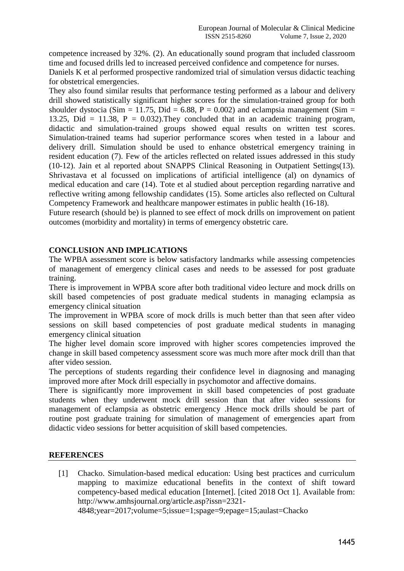competence increased by 32%. (2). An educationally sound program that included classroom time and focused drills led to increased perceived confidence and competence for nurses.

Daniels K et al performed prospective randomized trial of simulation versus didactic teaching for obstetrical emergencies.

They also found similar results that performance testing performed as a labour and delivery drill showed statistically significant higher scores for the simulation-trained group for both shoulder dystocia (Sim = 11.75, Did = 6.88, P = 0.002) and eclampsia management (Sim = 13.25, Did = 11.38,  $P = 0.032$ . They concluded that in an academic training program, didactic and simulation-trained groups showed equal results on written test scores. Simulation-trained teams had superior performance scores when tested in a labour and delivery drill. Simulation should be used to enhance obstetrical emergency training in resident education (7). Few of the articles reflected on related issues addressed in this study (10-12). Jain et al reported about SNAPPS Clinical Reasoning in Outpatient Settings(13). Shrivastava et al focussed on implications of artificial intelligence (al) on dynamics of medical education and care (14). Tote et al studied about perception regarding narrative and reflective writing among fellowship candidates (15). Some articles also reflected on Cultural Competency Framework and healthcare manpower estimates in public health (16-18).

Future research (should be) is planned to see effect of mock drills on improvement on patient outcomes (morbidity and mortality) in terms of emergency obstetric care.

## **CONCLUSION AND IMPLICATIONS**

The WPBA assessment score is below satisfactory landmarks while assessing competencies of management of emergency clinical cases and needs to be assessed for post graduate training.

There is improvement in WPBA score after both traditional video lecture and mock drills on skill based competencies of post graduate medical students in managing eclampsia as emergency clinical situation

The improvement in WPBA score of mock drills is much better than that seen after video sessions on skill based competencies of post graduate medical students in managing emergency clinical situation

The higher level domain score improved with higher scores competencies improved the change in skill based competency assessment score was much more after mock drill than that after video session.

The perceptions of students regarding their confidence level in diagnosing and managing improved more after Mock drill especially in psychomotor and affective domains.

There is significantly more improvement in skill based competencies of post graduate students when they underwent mock drill session than that after video sessions for management of eclampsia as obstetric emergency .Hence mock drills should be part of routine post graduate training for simulation of management of emergencies apart from didactic video sessions for better acquisition of skill based competencies.

## **REFERENCES**

[1] Chacko. Simulation-based medical education: Using best practices and curriculum mapping to maximize educational benefits in the context of shift toward competency-based medical education [Internet]. [cited 2018 Oct 1]. Available from: http://www.amhsjournal.org/article.asp?issn=2321-

4848;year=2017;volume=5;issue=1;spage=9;epage=15;aulast=Chacko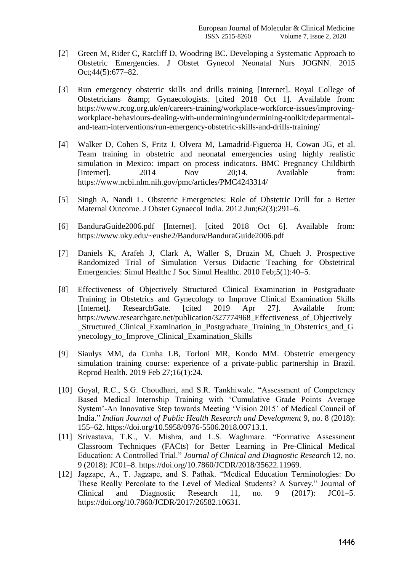- [2] Green M, Rider C, Ratcliff D, Woodring BC. Developing a Systematic Approach to Obstetric Emergencies. J Obstet Gynecol Neonatal Nurs JOGNN. 2015 Oct;44(5):677–82.
- [3] Run emergency obstetric skills and drills training [Internet]. Royal College of Obstetricians & amp; Gynaecologists. [cited 2018 Oct 1]. Available from: https://www.rcog.org.uk/en/careers-training/workplace-workforce-issues/improvingworkplace-behaviours-dealing-with-undermining/undermining-toolkit/departmentaland-team-interventions/run-emergency-obstetric-skills-and-drills-training/
- [4] Walker D, Cohen S, Fritz J, Olvera M, Lamadrid-Figueroa H, Cowan JG, et al. Team training in obstetric and neonatal emergencies using highly realistic simulation in Mexico: impact on process indicators. BMC Pregnancy Childbirth [Internet]. 2014 Nov 20;14. Available from: https://www.ncbi.nlm.nih.gov/pmc/articles/PMC4243314/
- [5] Singh A, Nandi L. Obstetric Emergencies: Role of Obstetric Drill for a Better Maternal Outcome. J Obstet Gynaecol India. 2012 Jun;62(3):291–6.
- [6] BanduraGuide2006.pdf [Internet]. [cited 2018 Oct 6]. Available from: https://www.uky.edu/~eushe2/Bandura/BanduraGuide2006.pdf
- [7] Daniels K, Arafeh J, Clark A, Waller S, Druzin M, Chueh J. Prospective Randomized Trial of Simulation Versus Didactic Teaching for Obstetrical Emergencies: Simul Healthc J Soc Simul Healthc. 2010 Feb;5(1):40–5.
- [8] Effectiveness of Objectively Structured Clinical Examination in Postgraduate Training in Obstetrics and Gynecology to Improve Clinical Examination Skills [Internet]. ResearchGate. [cited 2019 Apr 27]. Available from: https://www.researchgate.net/publication/327774968 Effectiveness of Objectively \_Structured\_Clinical\_Examination\_in\_Postgraduate\_Training\_in\_Obstetrics\_and\_G ynecology\_to\_Improve\_Clinical\_Examination\_Skills
- [9] Siaulys MM, da Cunha LB, Torloni MR, Kondo MM. Obstetric emergency simulation training course: experience of a private-public partnership in Brazil. Reprod Health. 2019 Feb 27;16(1):24.
- [10] Goyal, R.C., S.G. Choudhari, and S.R. Tankhiwale. "Assessment of Competency Based Medical Internship Training with 'Cumulative Grade Points Average System'-An Innovative Step towards Meeting 'Vision 2015' of Medical Council of India.‖ *Indian Journal of Public Health Research and Development* 9, no. 8 (2018): 155–62. https://doi.org/10.5958/0976-5506.2018.00713.1.
- [11] Srivastava, T.K., V. Mishra, and L.S. Waghmare. "Formative Assessment Classroom Techniques (FACts) for Better Learning in Pre-Clinical Medical Education: A Controlled Trial." *Journal of Clinical and Diagnostic Research* 12, no. 9 (2018): JC01–8. https://doi.org/10.7860/JCDR/2018/35622.11969.
- [12] Jagzape, A., T. Jagzape, and S. Pathak. "Medical Education Terminologies: Do These Really Percolate to the Level of Medical Students? A Survey." Journal of Clinical and Diagnostic Research 11, no. 9 (2017): JC01–5. https://doi.org/10.7860/JCDR/2017/26582.10631.